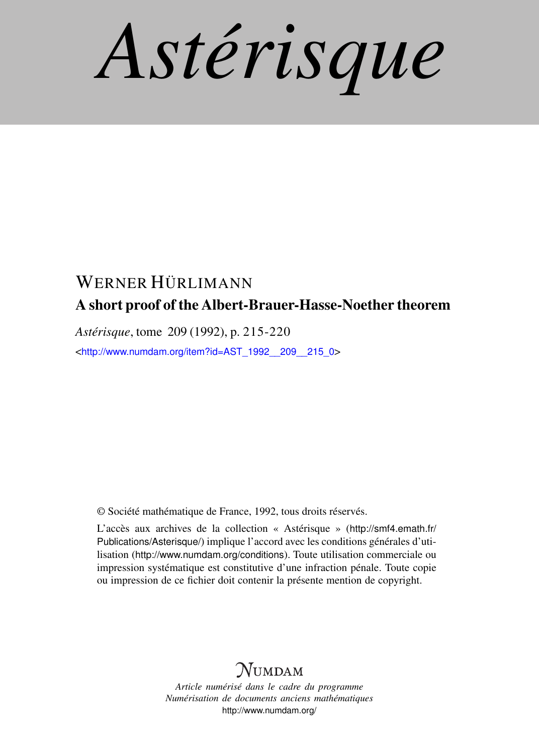*Astérisque*

# WERNER HÜRLIMANN A short proof of the Albert-Brauer-Hasse-Noether theorem

*Astérisque*, tome 209 (1992), p. 215-220

<[http://www.numdam.org/item?id=AST\\_1992\\_\\_209\\_\\_215\\_0](http://www.numdam.org/item?id=AST_1992__209__215_0)>

© Société mathématique de France, 1992, tous droits réservés.

L'accès aux archives de la collection « Astérisque » ([http://smf4.emath.fr/](http://smf4.emath.fr/Publications/Asterisque/) [Publications/Asterisque/](http://smf4.emath.fr/Publications/Asterisque/)) implique l'accord avec les conditions générales d'utilisation (<http://www.numdam.org/conditions>). Toute utilisation commerciale ou impression systématique est constitutive d'une infraction pénale. Toute copie ou impression de ce fichier doit contenir la présente mention de copyright.

## **NUMDAM**

*Article numérisé dans le cadre du programme Numérisation de documents anciens mathématiques* <http://www.numdam.org/>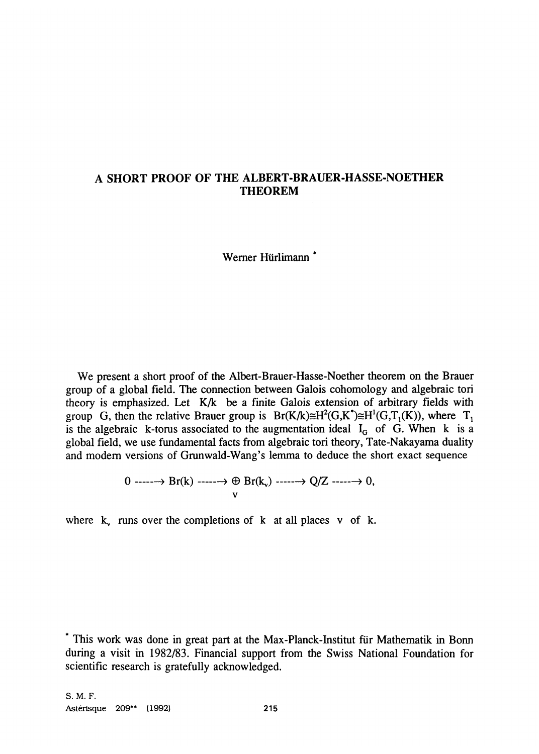## **A SHORT PROOF OF THE ALBERT-BRAUER-HASSE-NOETHER THEOREM**

Werner Hürlimann \*

We present a short proof of the Albert-Brauer-Hasse-Noether theorem on the Brauer group of a global field. The connection between Galois cohomology and algebraic tori theory is emphasized. Let K/k be a finite Galois extension of arbitrary fields with group G, then the relative Brauer group is  $Br(K/k)\cong H^2(G,K^*)\cong H^1(G,T_1(K))$ , where  $T_1$ is the algebraic k-torus associated to the augmentation ideal  $I_G$  of G. When k is a global field, we use fundamental facts from algebraic tori theory, Tate-Nakayama duality and modern versions of Grunwald-Wang's lemma to deduce the short exact sequence

$$
\begin{array}{ccc}\n0 & \cdots & \rightarrow & \text{Br}(k) & \cdots & \rightarrow & \text{Br}(k_v) & \cdots & \rightarrow & Q/Z & \cdots & \rightarrow & 0, \\
& & & & v & & \\
& & & & & v & & \\
\end{array}
$$

where  $k_v$  runs over the completions of k at all places v of k.

<sup>\*</sup> This work was done in great part at the Max-Planck-Institut für Mathematik in Bonn during a visit in 1982/83. Financial support from the Swiss National Foundation for scientific research is gratefully acknowledged.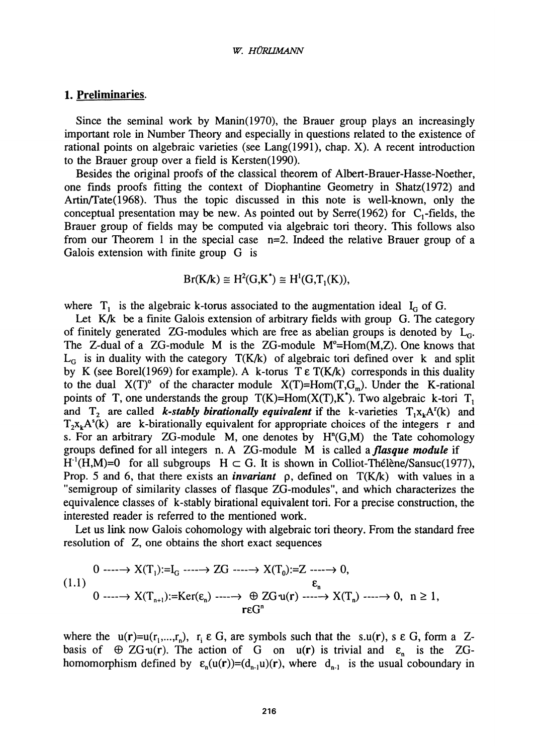#### *w. HÜRUMANN*

#### **1. Preliminaries.**

Since the seminal work by Manin(1970), the Brauer group plays an increasingly important role in Number Theory and especially in questions related to the existence of rational points on algebraic varieties (see Lang(1991), chap. X). A recent introduction to the Brauer group over a field is Kersten(1990).

Besides the original proofs of the classical theorem of Albert-Brauer-Hasse-Noether, one finds proofs fitting the context of Diophantine Geometry in Shatz(1972) and Artin/Tate(1968). Thus the topic discussed in this note is well-known, only the conceptual presentation may be new. As pointed out by Serre(1962) for  $C_1$ -fields, the Brauer group of fields may be computed via algebraic tori theory. This follows also from our Theorem 1 in the special case n=2. Indeed the relative Brauer group of a Galois extension with finite group G is

$$
Br(K/k) \cong H^2(G,K^*) \cong H^1(G,T_1(K)),
$$

where  $T_1$  is the algebraic k-torus associated to the augmentation ideal  $I_G$  of G.

Let K/k be a finite Galois extension of arbitrary fields with group G. The category of finitely generated ZG-modules which are free as abelian groups is denoted by  $L_G$ . The Z-dual of a  $ZG$ -module M is the  $ZG$ -module  $M^{\circ}$ =Hom $(M,Z)$ . One knows that  $L_G$  is in duality with the category  $T(K/k)$  of algebraic tori defined over k and split by K (see Borel(1969) for example). A k-torus  $T \epsilon T(K/k)$  corresponds in this duality to the dual  $X(T)^\circ$  of the character module  $X(T)=Hom(T,G_m)$ . Under the K-rational points of T, one understands the group  $T(K)=Hom(X(T), K^*)$ . Two algebraic k-tori  $T<sub>1</sub>$ and  $T_2$  are called *k-stably birationally equivalent* if the k-varieties  $T_1x_kA^r(k)$  and  $T_2x_kA^s(k)$  are k-birationally equivalent for appropriate choices of the integers r and s. For an arbitrary  $ZG$ -module M, one denotes by  $H<sup>n</sup>(G,M)$  the Tate cohomology groups defined for all integers n. A ZG-module M is called a *flasque module* if  $H^{\prime}(H,M)=0$  for all subgroups  $H \subset G$ . It is shown in Colliot-Thélène/Sansuc(1977), Prop. 5 and 6, that there exists an *invariant* p, defined on  $T(K/k)$  with values in a "semigroup of similarity classes of flasque ZG-modules", and which characterizes the equivalence classes of k-stably birational equivalent tori. For a precise construction, the interested reader is referred to the mentioned work.

Let us link now Galois cohomology with algebraic tori theory. From the standard free resolution of Z, one obtains the short exact sequences

$$
\begin{aligned}\n0 &\xrightarrow{\hspace{0.5cm}} X(T_1):=I_G \xrightarrow{\hspace{0.5cm}} ZG \xrightarrow{\hspace{0.5cm}} X(T_0):=Z \xrightarrow{\hspace{0.5cm}} 0, \\
\epsilon_n &\qquad 0 \xrightarrow{\hspace{0.5cm}} X(T_{n+1}):=Ker(\epsilon_n) \xrightarrow{\hspace{0.5cm}} \oplus ZG \cdot u(r) \xrightarrow{\hspace{0.5cm}} X(T_n) \xrightarrow{\hspace{0.5cm}} 0, \quad n \ge 1, \\
r\epsilon G^n &\qquad \qquad \epsilon_n &\qquad \qquad \end{aligned}
$$

where the  $u(r)=u(r_1,...,r_n)$ ,  $r_i \in G$ , are symbols such that the s.u(r), s  $\epsilon G$ , form a Zbasis of  $\oplus$  ZG-u(r). The action of G on u(r) is trivial and  $\varepsilon_n$  is the ZGhomomorphism defined by  $\varepsilon_n(u(r))=(d_{n-1}u)(r)$ , where  $d_{n-1}$  is the usual coboundary in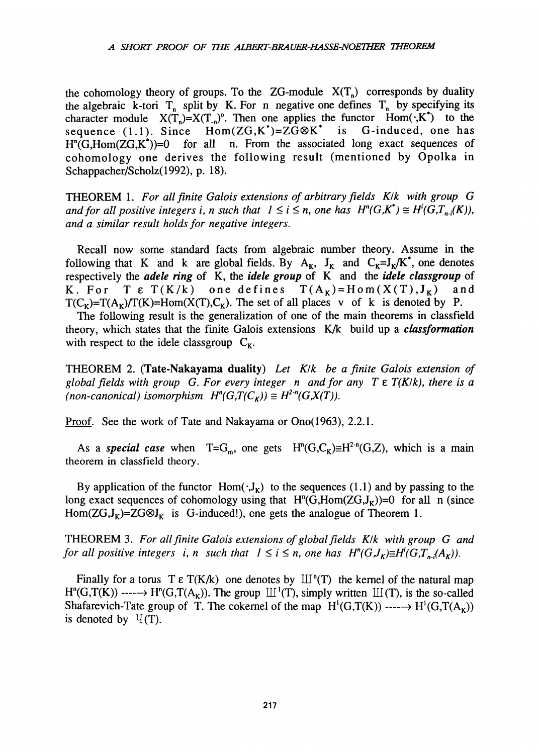the cohomology theory of groups. To the  $ZG$ -module  $X(T_n)$  corresponds by duality the algebraic k-tori  $T_n$  split by K. For n negative one defines  $T_n$  by specifying its character module  $X(T_n)=X(T_n)$ °. Then one applies the functor  $Hom(\cdot, K^*)$  to the sequence (1.1). Since  $Hom(ZG, K^*)=ZG\otimes K^*$  is G-induced, one has sequence (1.1). Since  $Hom(ZG, K^*)=ZG\otimes K^*$  is H<sup>o</sup>(G,Hom(ZG,K))=0 for all n. From the associated long exact sequences of cohomology one derives the following result (mentioned by Opolka in Schappacher/Scholz(1992), p. 18).

THEOREM 1. *For all finite Galois extensions of arbitrary fields Klk with group G and for all positive integers i, n such that*  $1 \le i \le n$ *, one has*  $H^n(G,K) \cong H^n(G,T_{n,i}(K))$ *, and a similar result holds for negative integers.* 

Recall now some standard facts from algebraic number theory. Assume in the following that K and k are global fields. By  $A_K$ ,  $J_K$  and  $C_K = J_K/K$ , one denotes respectively the *adele ring* of K, the *idele group* of K and the *idele classgroup* of K. For T  $\epsilon$  T(K/k) one defines  $T(A_K)=H \circ m(X(T),J_K)$  and  $T(C_K)=T(A_K)/T(K)=Hom(X(T),C_K)$ . The set of all places v of k is denoted by P.

The following result is the generalization of one of the main theorems in classfield theory, which states that the finite Galois extensions K/k build up a *classformation*  with respect to the idele classgroup  $C_{K}$ .

THEOREM 2. **(Tate-Nakayama duality)** *Let Klk be a finite Galois extension of global fields with group G. For every integer n and for any T* e *T(K/k), there is a (non-canonical) isomorphism*  $H^n(G,T(C_K)) \cong H^{2n}(G,X(T))$ .

Proof. See the work of Tate and Nakayama or Ono(1963), 2.2.1.

As a *special case* when  $T = G_m$ , one gets  $H^m(G, C_K) \cong H^{2m}(G, Z)$ , which is a main theorem in classfield theory.

By application of the functor  $Hom(\cdot, J_K)$  to the sequences (1.1) and by passing to the long exact sequences of cohomology using that  $H^{n}(G,Hom(ZG,J_{K}))=0$  for all n (since Hom( $ZG, J_K$ )= $ZG \otimes J_K$  is G-induced!), one gets the analogue of Theorem 1.

THEOREM 3. *For all finite Galois extensions of global fields Klk with group G and for all positive integers i, n such that*  $1 \le i \le n$ *, one has*  $H^{n}(G, I_{\kappa}) \cong H^{n}(G, T_{n,i}(A_{\kappa}))$ *.* 

Finally for a torus T  $\epsilon$  T(K/k) one denotes by  $\mathbb{H}^n(T)$  the kernel of the natural map  $H^{n}(G, T(K)) \longrightarrow H^{n}(G, T(A_{K}))$ . The group  $\mathbb{H}^{1}(T)$ , simply written  $\mathbb{H}(T)$ , is the so-called Shafarevich-Tate group of T. The cokernel of the map  $H^1(G,T(K)) \longrightarrow H^1(G,T(A_K))$ is denoted by  $\Psi(T)$ .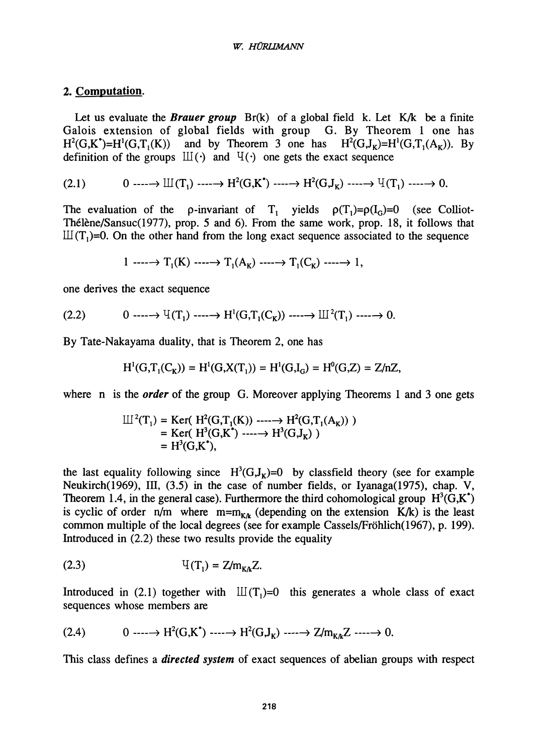#### *W. HÜRHMANN*

### **2. Computation.**

Let us evaluate the **Brauer group** Br(k) of a global field k. Let K/k be a finite Galois extension of global fields with group G. By Theorem 1 one has  $H^2(G,K^*)=H^1(G,T_1(K))$  and by Theorem 3 one has  $H^2(G,J_K)=H^1(G,T_1(A_K))$ . By definition of the groups  $III(·)$  and  $VI(·)$  one gets the exact sequence

$$
(2.1) \qquad \qquad 0 \longrightarrow \mathbb{H}(\mathbf{T}_1) \longrightarrow \mathbf{H}^2(\mathbf{G}, \mathbf{K}^*) \longrightarrow \mathbf{H}^2(\mathbf{G}, \mathbf{J}_\mathbf{K}) \longrightarrow \mathbb{H}(\mathbf{T}_1) \longrightarrow 0.
$$

The evaluation of the p-invariant of  $T_1$  yields  $\rho(T_1)=\rho(I_0)=0$  (see Colliot-Thélène/Sansuc(1977), prop. 5 and 6). From the same work, prop. 18, it follows that  $III(T_1)=0$ . On the other hand from the long exact sequence associated to the sequence

 $1 \longrightarrow T_1(K) \longrightarrow T_1(A_K) \longrightarrow T_1(C_K) \longrightarrow 1,$ 

one derives the exact sequence

$$
(2.2) \qquad \qquad 0 \longrightarrow^{\mathrm{U}}(\mathrm{T}_1) \longrightarrow^{\mathrm{H}^1}(\mathrm{G},\mathrm{T}_1(\mathrm{C}_\mathrm{K})) \longrightarrow^{\mathrm{U}^2}(\mathrm{T}_1) \longrightarrow^{\mathrm{U}^2}0.
$$

By Tate-Nakayama duality, that is Theorem 2, one has

$$
H^{1}(G, T_{1}(C_{K})) = H^{1}(G, X(T_{1})) = H^{1}(G, I_{G}) = H^{0}(G, Z) = Z/nZ,
$$

where n is the *order* of the group G. Moreover applying Theorems 1 and 3 one gets

$$
\begin{aligned} \mathbb{II}^2(T_1) &= \text{Ker}(\ H^2(G, T_1(K)) \ \cdots \to H^2(G, T_1(A_K)) \ ) \\ &= \text{Ker}(\ H^3(G, K^*) \ \cdots \to H^3(G, J_K) \ ) \\ &= H^3(G, K^*), \end{aligned}
$$

the last equality following since  $H^3(G,J_K)=0$  by classfield theory (see for example Neukirch(1969), III, (3.5) in the case of number fields, or Iyanaga(1975), chap. V, Theorem 1.4, in the general case). Furthermore the third cohomological group  $H^3(G,K)$ is cyclic of order  $n/m$  where  $m=m_{K/k}$  (depending on the extension K/k) is the least common multiple of the local degrees (see for example Cassels/Fr6hlich(1967), p. 199). Introduced in (2.2) these two results provide the equality

(2.3) 
$$
V(T_1) = Z/m_{K/k}Z.
$$

Introduced in (2.1) together with  $III(T<sub>1</sub>)=0$  this generates a whole class of exact sequences whose members are

$$
(2.4) \qquad \qquad 0 \longrightarrow H^2(G,K^*) \longrightarrow H^2(G,J_K) \longrightarrow Z/m_{K/k}Z \longrightarrow 0.
$$

This class defines a *directed system* of exact sequences of abelian groups with respect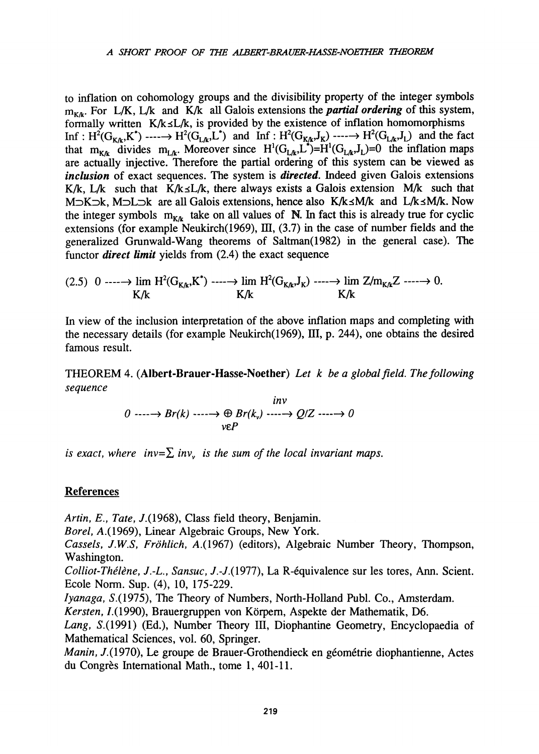to inflation on cohomology groups and the divisibility property of the integer symbols  $m_{k,k}$ . For L/K, L/k and K/k all Galois extensions the *partial ordering* of this system, formally written  $K/k\leq L/k$ , is provided by the existence of inflation homomorphisms Inf:  $H^2(G_{K/k}, K^{\bullet}) \longrightarrow H^2(G_{L/k}, L^{\bullet})$  and Inf:  $H^2(G_{K/k}, J_K) \longrightarrow H^2(G_{L/k}, J_L)$  and the fact that  $m_{K/k}$  divides  $m_{L/k}$ . Moreover since  $H^1(G_{L/k}, L^-)=H^1(G_{L/k}, J_L)=0$  the inflation maps are actually injective. Therefore the partial ordering of this system can be viewed as *inclusion* of exact sequences. The system is *directed.* Indeed given Galois extensions K/k, L/k such that K/k $\leq$ L/k, there always exists a Galois extension M/k such that M $\supset$ K $\supset$ k, M $\supset$ L $\supset$ k are all Galois extensions, hence also K/k $\leq M/k$  and L/k $\leq M/k$ . Now the integer symbols  $m_{K/k}$  take on all values of N. In fact this is already true for cyclic extensions (for example Neukirch(1969), HI, **(3.7)** in the case of number fields and the generalized Grunwald-Wang theorems of Saltman(1982) in the general case). The functor *direct limit* yields from (2.4) the exact sequence

$$
(2.5) \quad 0 \longrightarrow \lim_{K/k} H^2(G_{K/k}, K^*) \longrightarrow \lim_{K/k} H^2(G_{K/k}, J_K) \longrightarrow \lim_{K/k} Z/\max_{K/k} Z \longrightarrow 0.
$$

In view of the inclusion interpretation of the above inflation maps and completing with the necessary details (for example Neukirch(1969), HI, p. 244), one obtains the desired famous result.

THEOREM 4. **(Albert-Brauer-Hasse-Noether)** *Let k be a global field. The following sequence* 

> *0* ----→ *Br*(*k*) ----→ *veP Br(kv) inv*  **— >** *Q/Z > 0*

*is exact, where inv*= $\sum$  *inv*<sub>*v*</sub> *is the sum of the local invariant maps.* 

### **References**

*Artin, E.<sup>t</sup> Tate,* 7**.(1968),** Class field theory, Benjamin.

*Borel,* A.**(1969),** Linear Algebraic Groups, New York.

*Cassels, J.W.S, Fröhlich,* A.**(1967)** (editors), Algebraic Number Theory, Thompson, Washington.

*Colliot-Thélène, J.-L., Sansuc,* 7.-7.**(1977),** La R-équivalence sur les tores, Ann. Scient. Ecole Norm. Sup. **(4), 10, 175-229.** 

*lyanaga,* **5.(1975),** The Theory of Numbers, North-Holland Publ. Co., Amsterdam.

*Kersten,* **/.(1990),** Brauergruppen von Körpern, Aspekte der Mathematik, **D6.** 

*Lang,* **5.(1991)** (Ed.), Number Theory **lu,** Diophantine Geometry, Encyclopaedia of Mathematical Sciences, vol. **60,** Springer.

*Manin,* 7**.(1970),** Le groupe de Brauer-Grothendieck en géométrie diophantienne, Actes du Congrès International Math., tome **1, 401-11.**